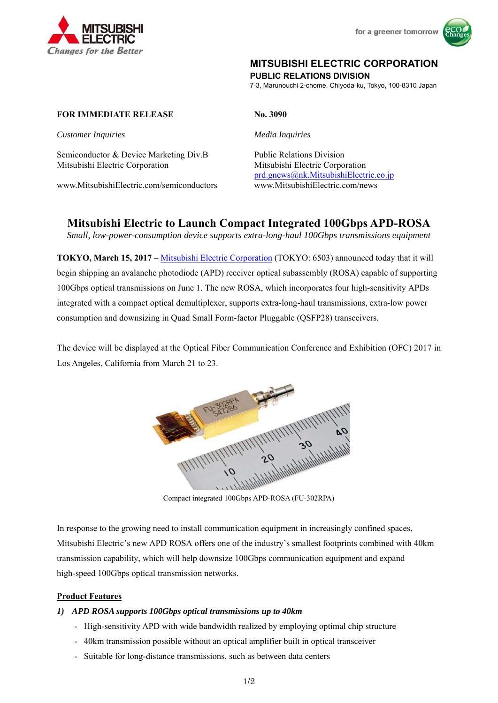



# **MITSUBISHI ELECTRIC CORPORATION**

**PUBLIC RELATIONS DIVISION** 

7-3, Marunouchi 2-chome, Chiyoda-ku, Tokyo, 100-8310 Japan

### **FOR IMMEDIATE RELEASE No. 3090**

*Customer Inquiries Media Inquiries* 

Semiconductor & Device Marketing Div.B Public Relations Division Mitsubishi Electric Corporation Mitsubishi Electric Corporation

www.MitsubishiElectric.com/semiconductors www.MitsubishiElectric.com/news

prd.gnews@nk.MitsubishiElectric.co.jp

# **Mitsubishi Electric to Launch Compact Integrated 100Gbps APD-ROSA**

*Small, low-power-consumption device supports extra-long-haul 100Gbps transmissions equipment* 

**TOKYO, March 15, 2017** – Mitsubishi Electric Corporation (TOKYO: 6503) announced today that it will begin shipping an avalanche photodiode (APD) receiver optical subassembly (ROSA) capable of supporting 100Gbps optical transmissions on June 1. The new ROSA, which incorporates four high-sensitivity APDs integrated with a compact optical demultiplexer, supports extra-long-haul transmissions, extra-low power consumption and downsizing in Quad Small Form-factor Pluggable (QSFP28) transceivers.

The device will be displayed at the Optical Fiber Communication Conference and Exhibition (OFC) 2017 in Los Angeles, California from March 21 to 23.



Compact integrated 100Gbps APD-ROSA (FU-302RPA)

In response to the growing need to install communication equipment in increasingly confined spaces, Mitsubishi Electric's new APD ROSA offers one of the industry's smallest footprints combined with 40km transmission capability, which will help downsize 100Gbps communication equipment and expand high-speed 100Gbps optical transmission networks.

### **Product Features**

### *1) APD ROSA supports 100Gbps optical transmissions up to 40km*

- High-sensitivity APD with wide bandwidth realized by employing optimal chip structure
- 40km transmission possible without an optical amplifier built in optical transceiver
- Suitable for long-distance transmissions, such as between data centers